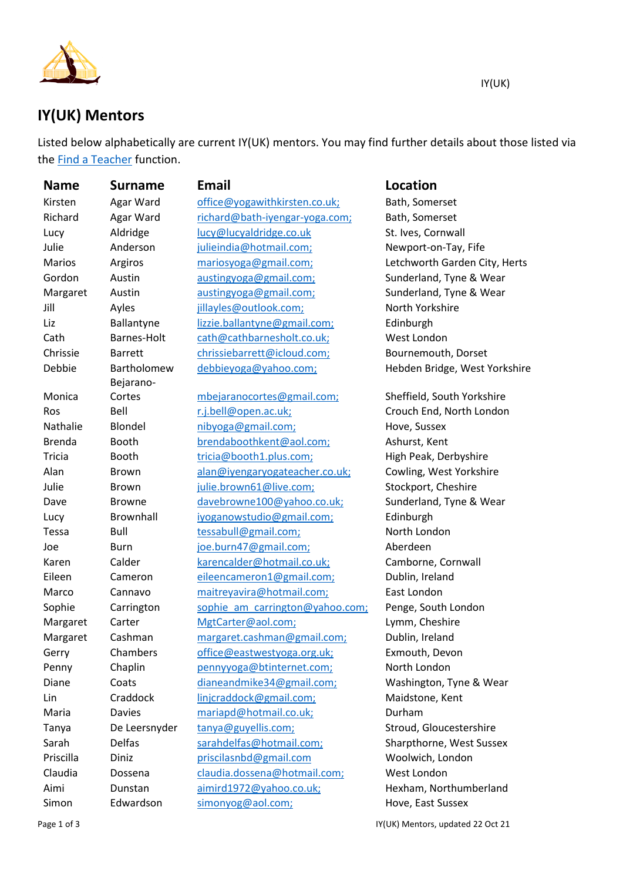

## **IY(UK) Mentors**

Listed below alphabetically are current IY(UK) mentors. You may find further details about those listed via the [Find a Teacher](https://iyengaryoga.org.uk/members-dashboard/find-a-teacher/) function.

| <b>Name</b>   | <b>Surname</b> | <b>Email</b>                    | <b>Location</b>               |
|---------------|----------------|---------------------------------|-------------------------------|
| Kirsten       | Agar Ward      | office@yogawithkirsten.co.uk;   | Bath, Somerset                |
| Richard       | Agar Ward      | richard@bath-iyengar-yoga.com;  | Bath, Somerset                |
| Lucy          | Aldridge       | lucy@lucyaldridge.co.uk         | St. Ives, Cornwall            |
| Julie         | Anderson       | julieindia@hotmail.com;         | Newport-on-Tay, Fife          |
| Marios        | Argiros        | mariosyoga@gmail.com;           | Letchworth Garden City, Herts |
| Gordon        | Austin         | austingyoga@gmail.com;          | Sunderland, Tyne & Wear       |
| Margaret      | Austin         | austingyoga@gmail.com;          | Sunderland, Tyne & Wear       |
| Jill          | Ayles          | jillayles@outlook.com;          | North Yorkshire               |
| Liz           | Ballantyne     | lizzie.ballantyne@gmail.com;    | Edinburgh                     |
| Cath          | Barnes-Holt    | cath@cathbarnesholt.co.uk;      | West London                   |
| Chrissie      | <b>Barrett</b> | chrissiebarrett@icloud.com;     | Bournemouth, Dorset           |
| Debbie        | Bartholomew    | debbieyoga@yahoo.com;           | Hebden Bridge, West Yorkshire |
|               | Bejarano-      |                                 |                               |
| Monica        | Cortes         | mbejaranocortes@gmail.com;      | Sheffield, South Yorkshire    |
| Ros           | Bell           | r.j.bell@open.ac.uk;            | Crouch End, North London      |
| Nathalie      | Blondel        | nibyoga@gmail.com;              | Hove, Sussex                  |
| <b>Brenda</b> | Booth          | brendaboothkent@aol.com;        | Ashurst, Kent                 |
| Tricia        | Booth          | tricia@booth1.plus.com;         | High Peak, Derbyshire         |
| Alan          | Brown          | alan@iyengaryogateacher.co.uk;  | Cowling, West Yorkshire       |
| Julie         | <b>Brown</b>   | julie.brown61@live.com;         | Stockport, Cheshire           |
| Dave          | <b>Browne</b>  | davebrowne100@yahoo.co.uk;      | Sunderland, Tyne & Wear       |
| Lucy          | Brownhall      | iyoganowstudio@gmail.com;       | Edinburgh                     |
| Tessa         | Bull           | tessabull@gmail.com;            | North London                  |
| Joe           | <b>Burn</b>    | joe.burn47@gmail.com;           | Aberdeen                      |
| Karen         | Calder         | karencalder@hotmail.co.uk;      | Camborne, Cornwall            |
| Eileen        | Cameron        | eileencameron1@gmail.com;       | Dublin, Ireland               |
| Marco         | Cannavo        | maitreyavira@hotmail.com;       | East London                   |
| Sophie        | Carrington     | sophie am carrington@yahoo.com; | Penge, South London           |
| Margaret      | Carter         | MgtCarter@aol.com;              | Lymm, Cheshire                |
| Margaret      | Cashman        | margaret.cashman@gmail.com;     | Dublin, Ireland               |
| Gerry         | Chambers       | office@eastwestyoga.org.uk;     | Exmouth, Devon                |
| Penny         | Chaplin        | pennyyoga@btinternet.com;       | North London                  |
| Diane         | Coats          | dianeandmike34@gmail.com;       | Washington, Tyne & Wear       |
| Lin           | Craddock       | linjcraddock@gmail.com;         | Maidstone, Kent               |
| Maria         | <b>Davies</b>  | mariapd@hotmail.co.uk;          | Durham                        |
| Tanya         | De Leersnyder  | tanya@guyellis.com;             | Stroud, Gloucestershire       |
| Sarah         | Delfas         | sarahdelfas@hotmail.com;        | Sharpthorne, West Sussex      |
| Priscilla     | Diniz          | priscilasnbd@gmail.com          | Woolwich, London              |
| Claudia       | Dossena        | claudia.dossena@hotmail.com;    | West London                   |
| Aimi          | Dunstan        | aimird1972@yahoo.co.uk;         | Hexham, Northumberland        |
| Simon         | Edwardson      | simonyog@aol.com;               | Hove, East Sussex             |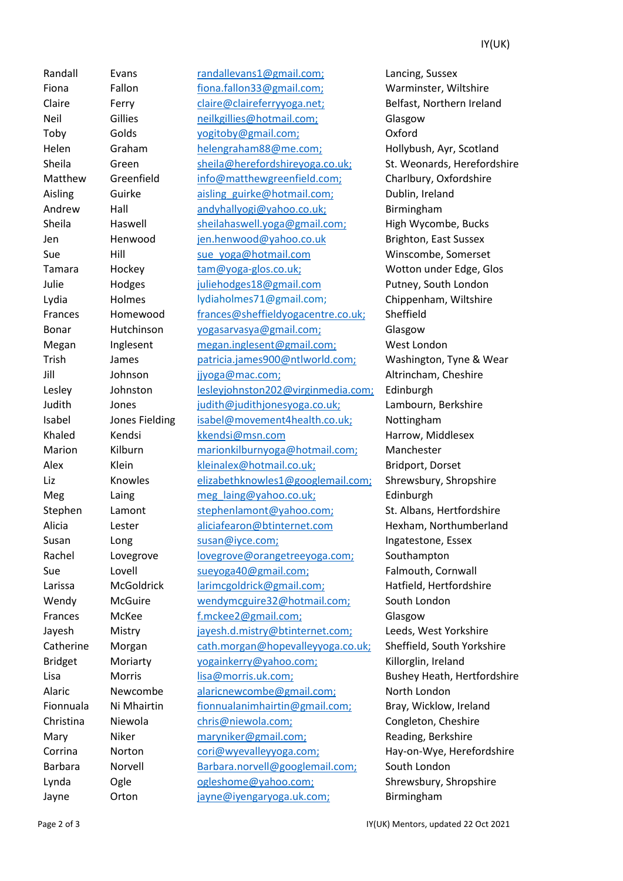Randall Evans [randallevans1@gmail.com;](mailto:randallevans1@gmail.com;) Lancing, Sussex Fiona Fallon [fiona.fallon33@gmail.com;](mailto:fiona.fallon33@gmail.com;) Warminster, Wiltshire Claire Ferry [claire@claireferryyoga.net;](mailto:claire@claireferryyoga.net;) Belfast, Northern Ireland Neil Gillies [neilkgillies@hotmail.com;](mailto:neilkgillies@hotmail.com;) Glasgow Toby Golds [yogitoby@gmail.com;](mailto:yogitoby@gmail.com;) Oxford Helen Graham [helengraham88@me.com;](http://www.ymlp.com/app/record.php?PHPSESSID=9e0154956a35cf4cf402665973e3d61b&id=3515&q=rpur2cxu&s=v) Hollybush, Ayr, Scotland Sheila Green [sheila@herefordshireyoga.co.uk;](http://www.ymlp.com/app/record.php?PHPSESSID=9e0154956a35cf4cf402665973e3d61b&id=5806&q=rpur2cxu&s=v) St. Weonards, Herefordshire Matthew Greenfield [info@matthewgreenfield.com;](mailto:info@matthewgreenfield.com;) Charlbury, Oxfordshire Aisling Guirke aisling guirke@hotmail.com; Dublin, Ireland Andrew Hall [andyhallyogi@yahoo.co.uk;](mailto:andyhallyogi@yahoo.co.uk;) Birmingham Sheila Haswell [sheilahaswell.yoga@gmail.com;](http://www.ymlp.com/app/record.php?PHPSESSID=9e0154956a35cf4cf402665973e3d61b&id=6247&q=rpur2cxu&s=v) High Wycombe, Bucks Jen Henwood [jen.henwood@yahoo.co.uk](mailto:jen.henwood@yahoo.co.uk) Brighton, East Sussex Sue Hill sue yoga@hotmail.com Winscombe, Somerset Tamara Hockey [tam@yoga-glos.co.uk;](mailto:tam@yoga-glos.co.uk;) Wotton under Edge, Glos Julie Hodges [juliehodges18@gmail.com](mailto:juliehodges18@gmail.com) Putney, South London Lydia Holmes lydiaholmes71@gmail.com; Chippenham, Wiltshire Frances Homewood [frances@sheffieldyogacentre.co.uk;](mailto:frances@sheffieldyogacentre.co.uk;) Sheffield Bonar Hutchinson [yogasarvasya@gmail.com;](mailto:yogasarvasya@gmail.com;) Glasgow Megan Inglesent [megan.inglesent@gmail.com;](mailto:megan.inglesent@gmail.com;) West London Trish James [patricia.james900@ntlworld.com;](mailto:patricia.james900@ntlworld.com;) Washington, Tyne & Wear Jill Johnson [jjyoga@mac.com;](mailto:jjyoga@mac.com;) Altrincham, Cheshire Lesley Johnston [lesleyjohnston202@virginmedia.com;](mailto:lesleyjohnston202@virginmedia.com;) Edinburgh Judith Jones [judith@judithjonesyoga.co.uk;](mailto:judith@judithjonesyoga.co.uk;) Lambourn, Berkshire Isabel Jones Fielding [isabel@movement4health.co.uk;](mailto:isabel@movement4health.co.uk;) Nottingham Khaled Kendsi [kkendsi@msn.com](mailto:kkendsi@msn.com) Harrow, Middlesex Marion Kilburn [marionkilburnyoga@hotmail.com;](http://www.ymlp.com/app/record.php?PHPSESSID=9e0154956a35cf4cf402665973e3d61b&id=1116&q=rpur2cxu&s=v) Manchester Alex Klein [kleinalex@hotmail.co.uk;](mailto:kleinalex@hotmail.co.uk;) Bridport, Dorset Liz Knowles [elizabethknowles1@googlemail.com;](mailto:elizabethknowles1@googlemail.com;) Shrewsbury, Shropshire Meg Laing [meg\\_laing@yahoo.co.uk;](http://www.ymlp.com/app/record.php?PHPSESSID=9e0154956a35cf4cf402665973e3d61b&id=3209&q=rpur2cxu&s=v) Edinburgh Stephen Lamont stephenlamont@yahoo.com: St. Albans, Hertfordshire Alicia Lester [aliciafearon@btinternet.com](mailto:aliciafearon@btinternet.com) Hexham, Northumberland Susan Long [susan@iyce.com;](http://www.ymlp.com/app/record.php?PHPSESSID=9e0154956a35cf4cf402665973e3d61b&id=1159&q=rpur2cxu&s=v) Ingatestone, Essex Rachel Lovegrove [lovegrove@orangetreeyoga.com;](mailto:lovegrove@orangetreeyoga.com;) Southampton Sue Lovell [sueyoga40@gmail.com;](mailto:sueyoga40@gmail.com;) Falmouth, Cornwall Larissa McGoldrick [larimcgoldrick@gmail.com;](mailto:larimcgoldrick@gmail.com;) Hatfield, Hertfordshire Wendy McGuire [wendymcguire32@hotmail.com;](mailto:wendymcguire32@hotmail.com;) South London Frances McKee [f.mckee2@gmail.com;](mailto:f.mckee2@gmail.com;) Glasgow Jayesh Mistry [jayesh.d.mistry@btinternet.com;](mailto:jayesh.d.mistry@btinternet.com;) Leeds, West Yorkshire Catherine Morgan [cath.morgan@hopevalleyyoga.co.uk;](mailto:cath.morgan@hopevalleyyoga.co.uk;) Sheffield, South Yorkshire Bridget Moriarty [yogainkerry@yahoo.com;](mailto:yogainkerry@yahoo.com;) Killorglin, Ireland Lisa **Morris Morris Mexicom** [lisa@morris.uk.com;](mailto:lisa@morris.uk.com;) **Bushey Heath, Hertfordshire** Alaric Newcombe [alaricnewcombe@gmail.com;](http://www.ymlp.com/app/record.php?PHPSESSID=9e0154956a35cf4cf402665973e3d61b&id=5320&q=rpur2cxu&s=v) North London Fionnuala Ni Mhairtin [fionnualanimhairtin@gmail.com;](mailto:fionnualanimhairtin@gmail.com;) Bray, Wicklow, Ireland Christina Niewola [chris@niewola.com;](http://www.ymlp.com/app/record.php?PHPSESSID=9e0154956a35cf4cf402665973e3d61b&id=1231&q=rpur2cxu&s=v) Congleton, Cheshire Mary Niker [maryniker@gmail.com;](mailto:maryniker@gmail.com;) Reading, Berkshire Corrina Norton [cori@wyevalleyyoga.com;](mailto:cori@wyevalleyyoga.com;) Hay-on-Wye, Herefordshire Barbara Norvell [Barbara.norvell@googlemail.com;](mailto:Barbara.norvell@googlemail.com) South London Lynda Ogle [ogleshome@yahoo.com;](mailto:ogleshome@yahoo.com;) Shrewsbury, Shropshire Jayne Orton [jayne@iyengaryoga.uk.com;](mailto:jayne@iyengaryoga.uk.com;) Birmingham